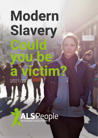### **Modern Slavery Could you be a victim?** 2021/22 $(n_0)$

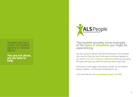Anyone can be a victim of modern slavery or forced labour.

**You are not alone, we are here to help.**



### This booklet provides some examples of the **types of situations** you might be<br>experiencing.

You don't have to identify with all the situations in this booklet. You may find that just one of the topics mentioned applies to you but **it is our aim to help you understand** what you are going through and equip you with the tools you need to get help.

At the end of each page is the phone number for the Modern Slavery Helpline - it's free and confidential to call.

If you ever feel you are **in immediate danger, call 999.**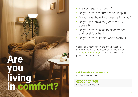## **Are you living in comfort?**

- Are you regularly hungry?
- Do you have a warm bed to sleep in?
- Do you ever have to scavenge for food?
- Do you feel physically or mentally abused?
- Do you have access to clean water and toilet facilities?
- Do you have suitable, warm clothes?

Victims of modern slavery are often housed in poor conditions with no access to hygiene facilities. Talk to your line manager, they are ready to give you support and advice.

Call the Modern Slavery Helpline as soon as you can on...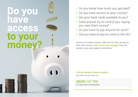### **Do you have access to your money?**





- Do you know how much you get paid?
- Do you have access to your money?
- Are your bank cards available to you?
- Does anyone try to control you, saying you owe them money?
- Do you have to pay anyone for work?
- Did you have to pay to come to the UK?

Victims of modern slavery often do not have access to their own money. Talk to your line manager, they are ready to give you support and advice.

Call the Modern Slavery Helpline as soon as you can on...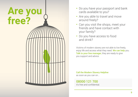

- Do you have your passport and bank cards available to you?
- Are you able to travel and move around freely?
- Can you visit the shops, meet your friends and have contact with your family?
- Do you have access to food and drink?

Victims of modern slavery are not able to live freely, enjoy life and access what they need. We can help you. Talk to your line manager, they are ready to give you support and advice.

Call the Modern Slavery Helpline as soon as you can on...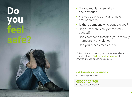# **Do you feel**

- Do you regularly feel afraid and anxious?
- Are you able to travel and move around freely?
- Is there someone who controls you?
- Do you feel physically or mentally abused?
- Does someone threaten you or family members with violence?
- Can you access medical care?

Victims of modern slavery are often physically and mentally abused. Talk to your line manager, they are ready to give you support and advice.

Call the Modern Slavery Helpline as soon as you can on...